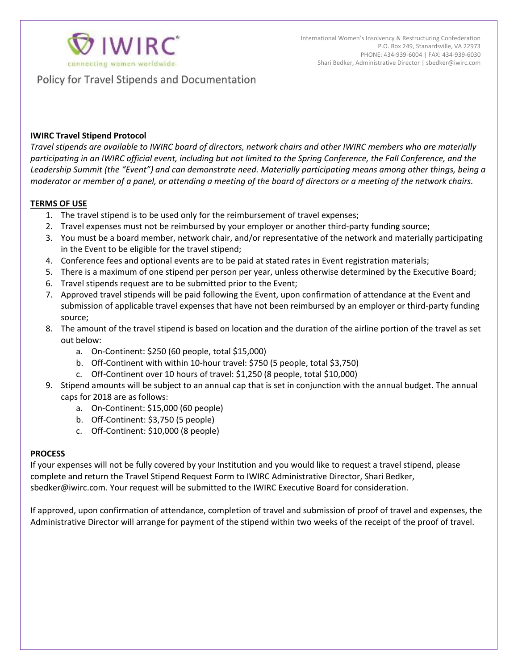

Policy for Travel Stipends and Documentation

## **IWIRC Travel Stipend Protocol**

*Travel stipends are available to IWIRC board of directors, network chairs and other IWIRC members who are materially participating in an IWIRC official event, including but not limited to the Spring Conference, the Fall Conference, and the Leadership Summit (the "Event") and can demonstrate need. Materially participating means among other things, being a moderator or member of a panel, or attending a meeting of the board of directors or a meeting of the network chairs.* 

## **TERMS OF USE**

- 1. The travel stipend is to be used only for the reimbursement of travel expenses;
- 2. Travel expenses must not be reimbursed by your employer or another third-party funding source;
- 3. You must be a board member, network chair, and/or representative of the network and materially participating in the Event to be eligible for the travel stipend;
- 4. Conference fees and optional events are to be paid at stated rates in Event registration materials;
- 5. There is a maximum of one stipend per person per year, unless otherwise determined by the Executive Board;
- 6. Travel stipends request are to be submitted prior to the Event;
- 7. Approved travel stipends will be paid following the Event, upon confirmation of attendance at the Event and submission of applicable travel expenses that have not been reimbursed by an employer or third-party funding source;
- 8. The amount of the travel stipend is based on location and the duration of the airline portion of the travel as set out below:
	- a. On-Continent: \$250 (60 people, total \$15,000)
	- b. Off-Continent with within 10-hour travel: \$750 (5 people, total \$3,750)
	- c. Off-Continent over 10 hours of travel: \$1,250 (8 people, total \$10,000)
- 9. Stipend amounts will be subject to an annual cap that is set in conjunction with the annual budget. The annual caps for 2018 are as follows:
	- a. On-Continent: \$15,000 (60 people)
	- b. Off-Continent: \$3,750 (5 people)
	- c. Off-Continent: \$10,000 (8 people)

### **PROCESS**

If your expenses will not be fully covered by your Institution and you would like to request a travel stipend, please complete and return the Travel Stipend Request Form to IWIRC Administrative Director, Shari Bedker, sbedker@iwirc.com. Your request will be submitted to the IWIRC Executive Board for consideration.

If approved, upon confirmation of attendance, completion of travel and submission of proof of travel and expenses, the Administrative Director will arrange for payment of the stipend within two weeks of the receipt of the proof of travel.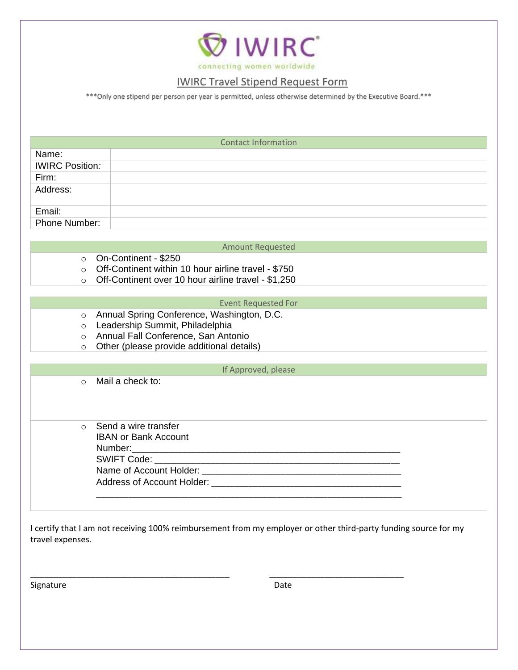

# IWIRC Travel Stipend Request Form

\*\*\*Only one stipend per person per year is permitted, unless otherwise determined by the Executive Board.\*\*\*

| <b>Contact Information</b> |  |  |  |  |  |  |
|----------------------------|--|--|--|--|--|--|
| Name:                      |  |  |  |  |  |  |
| <b>IWIRC Position:</b>     |  |  |  |  |  |  |
| Firm:                      |  |  |  |  |  |  |
| Address:                   |  |  |  |  |  |  |
| Email:                     |  |  |  |  |  |  |
| Phone Number:              |  |  |  |  |  |  |

### Amount Requested

- o On-Continent \$250
- o Off-Continent within 10 hour airline travel \$750
- o Off-Continent over 10 hour airline travel \$1,250

#### Event Requested For

- o Annual Spring Conference, Washington, D.C.
- o Leadership Summit, Philadelphia
- o Annual Fall Conference, San Antonio
- o Other (please provide additional details)

#### If Approved, please

o Mail a check to:

o Send a wire transfer IBAN or Bank Account Number:\_\_\_\_\_\_\_\_\_\_\_\_\_\_\_\_\_\_\_\_\_\_\_\_\_\_\_\_\_\_\_\_\_\_\_\_\_\_\_\_\_\_\_\_\_\_\_\_\_\_\_\_\_\_\_\_\_\_ SWIFT Code: Name of Account Holder: \_\_\_\_\_\_\_\_\_\_\_\_\_\_\_\_\_\_\_\_\_\_\_\_\_\_\_\_\_\_\_\_\_\_\_\_\_\_\_\_\_\_\_

Address of Account Holder: \_\_\_\_\_\_\_\_\_\_\_\_\_\_\_\_\_\_\_\_\_\_\_\_\_\_\_\_\_\_\_\_\_\_\_\_\_\_\_\_\_ \_\_\_\_\_\_\_\_\_\_\_\_\_\_\_\_\_\_\_\_\_\_\_\_\_\_\_\_\_\_\_\_\_\_\_\_\_\_\_\_\_\_\_\_\_\_\_\_\_\_\_\_\_\_\_\_\_\_\_\_\_\_\_\_\_\_

I certify that I am not receiving 100% reimbursement from my employer or other third-party funding source for my travel expenses.

\_\_\_\_\_\_\_\_\_\_\_\_\_\_\_\_\_\_\_\_\_\_\_\_\_\_\_\_\_\_\_\_\_\_\_\_\_\_\_\_\_\_\_ \_\_\_\_\_\_\_\_\_\_\_\_\_\_\_\_\_\_\_\_\_\_\_\_\_\_\_\_\_

Signature Date Date Date